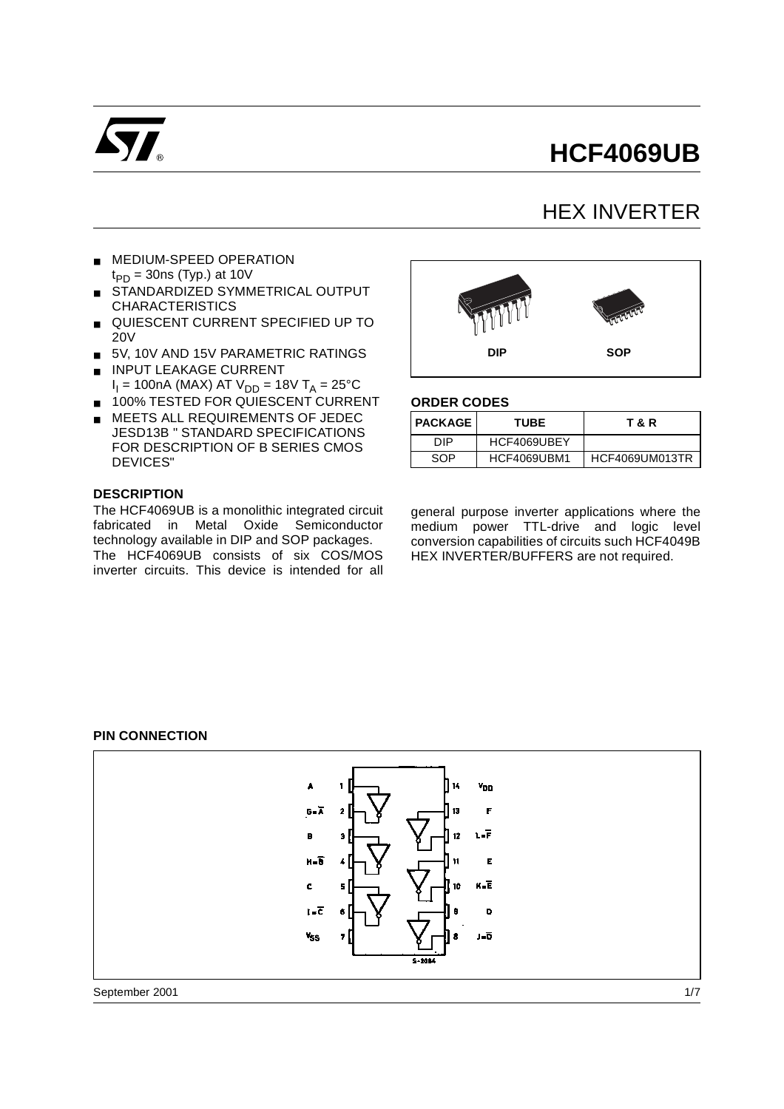

# **HCF4069UB**

## HEX INVERTER

- MEDIUM-SPEED OPERATION  $t_{PD}$  = 30ns (Typ.) at 10V
- STANDARDIZED SYMMETRICAL OUTPUT CHARACTERISTICS
- QUIESCENT CURRENT SPECIFIED UP TO 20V
- 5V, 10V AND 15V PARAMETRIC RATINGS
- INPUT LEAKAGE CURRENT  $I<sub>I</sub>$  = 100nA (MAX) AT V<sub>DD</sub> = 18V T<sub>A</sub> = 25°C
- 100% TESTED FOR QUIESCENT CURRENT
- MEETS ALL REQUIREMENTS OF JEDEC JESD13B " STANDARD SPECIFICATIONS FOR DESCRIPTION OF B SERIES CMOS DEVICES"

#### **DESCRIPTION**

The HCF4069UB is a monolithic integrated circuit fabricated in Metal Oxide Semiconductor technology available in DIP and SOP packages. The HCF4069UB consists of six COS/MOS inverter circuits. This device is intended for all



#### **ORDER CODES**

| <b>PACKAGE</b> | TUBE               | T & R                 |
|----------------|--------------------|-----------------------|
| DIP            | HCF4069UBEY        |                       |
| SOP            | <b>HCF4069UBM1</b> | <b>HCF4069UM013TR</b> |

general purpose inverter applications where the medium power TTL-drive and logic level conversion capabilities of circuits such HCF4049B HEX INVERTER/BUFFERS are not required.

#### **PIN CONNECTION**

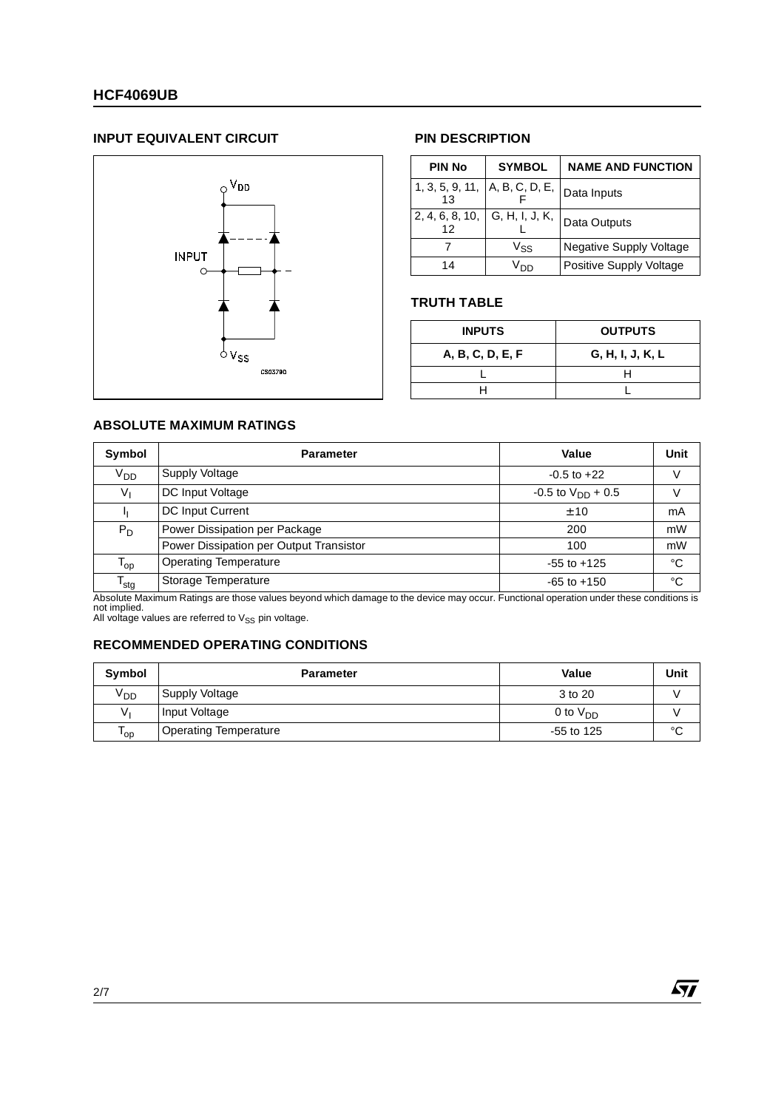#### **INPUT EQUIVALENT CIRCUIT PIN DESCRIPTION**



| <b>PIN No</b>                     | <b>SYMBOL</b>   | <b>NAME AND FUNCTION</b>       |  |  |  |  |  |
|-----------------------------------|-----------------|--------------------------------|--|--|--|--|--|
| 1, 3, 5, 9, 11, A, B, C, D, E, 13 |                 | Data Inputs                    |  |  |  |  |  |
| 2, 4, 6, 8, 10,                   | G, H, I, J, K,  | Data Outputs                   |  |  |  |  |  |
|                                   | V <sub>SS</sub> | <b>Negative Supply Voltage</b> |  |  |  |  |  |
| 14                                | Vnn             | Positive Supply Voltage        |  |  |  |  |  |

#### **TRUTH TABLE**

| <b>INPUTS</b>    | <b>OUTPUTS</b>   |
|------------------|------------------|
| A, B, C, D, E, F | G, H, I, J, K, L |
|                  |                  |
|                  |                  |

#### **ABSOLUTE MAXIMUM RATINGS**

| Symbol                     | <b>Parameter</b>                        | Value                    | Unit        |
|----------------------------|-----------------------------------------|--------------------------|-------------|
| $V_{DD}$                   | Supply Voltage                          | $-0.5$ to $+22$          | V           |
| V <sub>I</sub>             | DC Input Voltage                        | $-0.5$ to $V_{DD}$ + 0.5 | v           |
|                            | <b>DC Input Current</b>                 | ±10                      | mA          |
| $P_D$                      | Power Dissipation per Package           | 200                      | mW          |
|                            | Power Dissipation per Output Transistor | 100                      | mW          |
| $\mathsf{T}_{\textsf{op}}$ | <b>Operating Temperature</b>            | $-55$ to $+125$          | °C          |
| $\mathsf{T}_{\text{stg}}$  | Storage Temperature                     | $-65$ to $+150$          | $^{\circ}C$ |

Absolute Maximum Ratings are those values beyond which damage to the device may occur. Functional operation under these conditions is<br>not implied.<br>All voltage values are referred to V<sub>SS</sub> pin voltage.

#### **RECOMMENDED OPERATING CONDITIONS**

| Symbol          | <b>Parameter</b>             | Value         | Unit |
|-----------------|------------------------------|---------------|------|
| V <sub>DD</sub> | Supply Voltage               | 3 to 20       |      |
| V,              | Input Voltage                | 0 to $V_{DD}$ |      |
| l op            | <b>Operating Temperature</b> | $-55$ to 125  | °C   |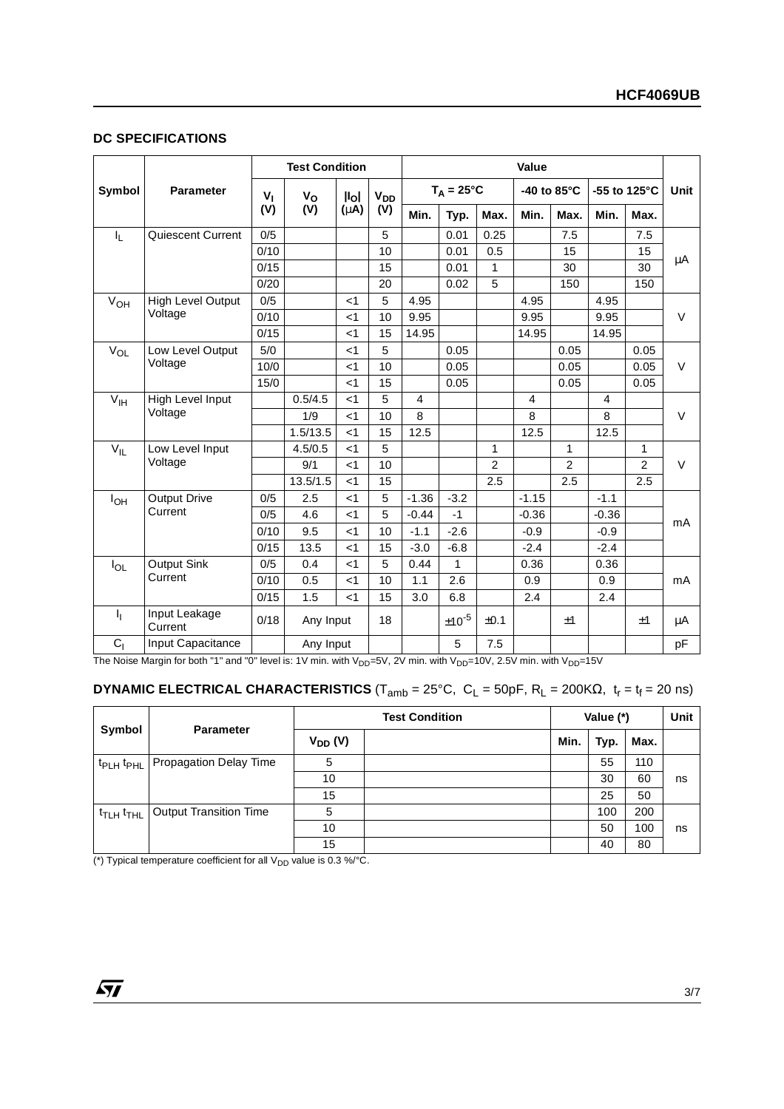#### **DC SPECIFICATIONS**

|                 |                          | <b>Test Condition</b> |             |                  | Value                 |                     |            |                |                |                |                |                |        |
|-----------------|--------------------------|-----------------------|-------------|------------------|-----------------------|---------------------|------------|----------------|----------------|----------------|----------------|----------------|--------|
| Symbol          | <b>Parameter</b>         | v,                    | $V_{\rm O}$ | $\mathsf{I}$ lol | <b>V<sub>DD</sub></b> | $T_A = 25^{\circ}C$ |            |                | -40 to 85°C    |                | -55 to 125°C   |                | Unit   |
|                 |                          | (V)                   | (V)         | $(\mu A)$        | (V)                   | Min.                | Typ.       | Max.           | Min.           | Max.           | Min.           | Max.           |        |
| I <sub>L</sub>  | Quiescent Current        | 0/5                   |             |                  | 5                     |                     | 0.01       | 0.25           |                | 7.5            |                | 7.5            |        |
|                 |                          | 0/10                  |             |                  | 10                    |                     | 0.01       | 0.5            |                | 15             |                | 15             |        |
|                 |                          | 0/15                  |             |                  | 15                    |                     | 0.01       | 1              |                | 30             |                | 30             | μA     |
|                 |                          | 0/20                  |             |                  | 20                    |                     | 0.02       | 5              |                | 150            |                | 150            |        |
| V <sub>OH</sub> | <b>High Level Output</b> | 0/5                   |             | $<$ 1            | 5                     | 4.95                |            |                | 4.95           |                | 4.95           |                |        |
|                 | Voltage                  | 0/10                  |             | $<$ 1            | 10                    | 9.95                |            |                | 9.95           |                | 9.95           |                | $\vee$ |
|                 |                          | 0/15                  |             | $<$ 1            | 15                    | 14.95               |            |                | 14.95          |                | 14.95          |                |        |
| $V_{OL}$        | Low Level Output         | 5/0                   |             | $<$ 1            | 5                     |                     | 0.05       |                |                | 0.05           |                | 0.05           |        |
|                 | Voltage                  | 10/0                  |             | $<$ 1            | 10                    |                     | 0.05       |                |                | 0.05           |                | 0.05           | $\vee$ |
|                 |                          | 15/0                  |             | $<$ 1            | 15                    |                     | 0.05       |                |                | 0.05           |                | 0.05           |        |
| $V_{\text{IH}}$ | High Level Input         |                       | 0.5/4.5     | $<$ 1            | 5                     | 4                   |            |                | $\overline{4}$ |                | $\overline{4}$ |                |        |
|                 | Voltage                  |                       | 1/9         | $<$ 1            | 10                    | 8                   |            |                | 8              |                | 8              |                | $\vee$ |
|                 |                          |                       | 1.5/13.5    | $<$ 1            | 15                    | 12.5                |            |                | 12.5           |                | 12.5           |                |        |
| $V_{IL}$        | Low Level Input          |                       | 4.5/0.5     | $<$ 1            | 5                     |                     |            | $\mathbf{1}$   |                | 1              |                | 1              |        |
|                 | Voltage                  |                       | 9/1         | $<$ 1            | 10                    |                     |            | $\overline{2}$ |                | $\overline{2}$ |                | $\overline{2}$ | $\vee$ |
|                 |                          |                       | 13.5/1.5    | $\leq$ 1         | 15                    |                     |            | 2.5            |                | 2.5            |                | 2.5            |        |
| $I_{OH}$        | <b>Output Drive</b>      | 0/5                   | 2.5         | $<$ 1            | 5                     | $-1.36$             | $-3.2$     |                | $-1.15$        |                | $-1.1$         |                |        |
|                 | Current                  | 0/5                   | 4.6         | $<$ 1            | 5                     | $-0.44$             | $-1$       |                | $-0.36$        |                | $-0.36$        |                | mA     |
|                 |                          | 0/10                  | 9.5         | $<$ 1            | 10                    | $-1.1$              | $-2.6$     |                | $-0.9$         |                | $-0.9$         |                |        |
|                 |                          | 0/15                  | 13.5        | $<$ 1            | 15                    | $-3.0$              | $-6.8$     |                | $-2.4$         |                | $-2.4$         |                |        |
| $I_{OL}$        | <b>Output Sink</b>       | 0/5                   | 0.4         | $<$ 1            | 5                     | 0.44                | 1          |                | 0.36           |                | 0.36           |                |        |
|                 | Current                  | 0/10                  | 0.5         | $<$ 1            | 10                    | 1.1                 | 2.6        |                | 0.9            |                | 0.9            |                | mA     |
|                 |                          | 0/15                  | 1.5         | $<$ 1            | 15                    | 3.0                 | 6.8        |                | 2.4            |                | 2.4            |                |        |
| Т,              | Input Leakage<br>Current | 0/18                  | Any Input   |                  | 18                    |                     | $±10^{-5}$ | ±0.1           |                | ±1             |                | ±1             | μA     |
| C <sub>1</sub>  | Input Capacitance        |                       | Any Input   |                  |                       |                     | 5          | 7.5            |                |                |                |                | pF     |

The Noise Margin for both "1" and "0" level is: 1V min. with  $V_{DD}$ =5V, 2V min. with V<sub>DD</sub>=10V, 2.5V min. with V<sub>DD</sub>=15V

#### **DYNAMIC ELECTRICAL CHARACTERISTICS** (T<sub>amb</sub> = 25°C, C<sub>L</sub> = 50pF, R<sub>L</sub> = 200KΩ, t<sub>r</sub> = t<sub>f</sub> = 20 ns)

|                                   | <b>Parameter</b>              | <b>Test Condition</b> |  |      | Value (*) |      |    |  |
|-----------------------------------|-------------------------------|-----------------------|--|------|-----------|------|----|--|
| Symbol                            |                               | $V_{DD} (V)$          |  | Min. | Typ.      | Max. |    |  |
| t <sub>PLH</sub> t <sub>PHL</sub> | Propagation Delay Time        | 5                     |  |      | 55        | 110  |    |  |
|                                   |                               | 10                    |  |      | 30        | 60   | ns |  |
|                                   |                               | 15                    |  |      | 25        | 50   |    |  |
| t <sub>TLH</sub> t <sub>THL</sub> | <b>Output Transition Time</b> | 5                     |  |      | 100       | 200  |    |  |
|                                   |                               | 10                    |  |      | 50        | 100  | ns |  |
|                                   |                               | 15                    |  |      | 40        | 80   |    |  |

(\*) Typical temperature coefficient for all  $V_{DD}$  value is 0.3 %/°C.

 $\sqrt{M}$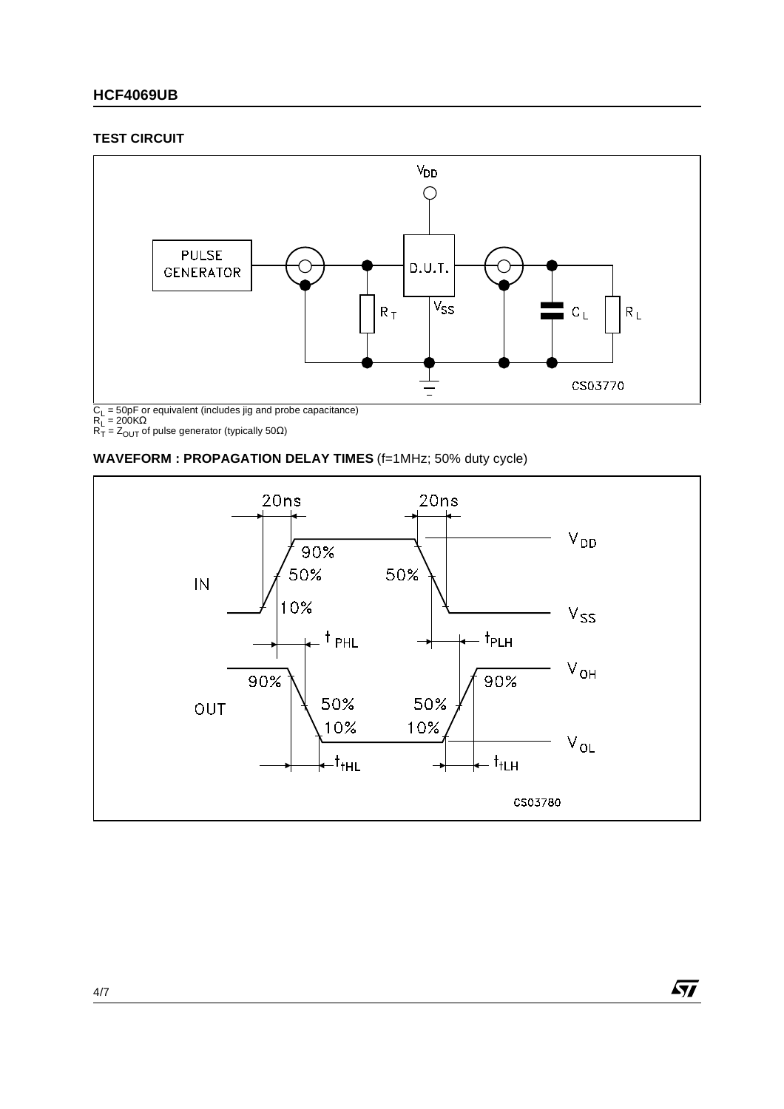#### **HCF4069UB**

#### **TEST CIRCUIT**



#### **WAVEFORM : PROPAGATION DELAY TIMES** (f=1MHz; 50% duty cycle)



 $\sqrt{M}$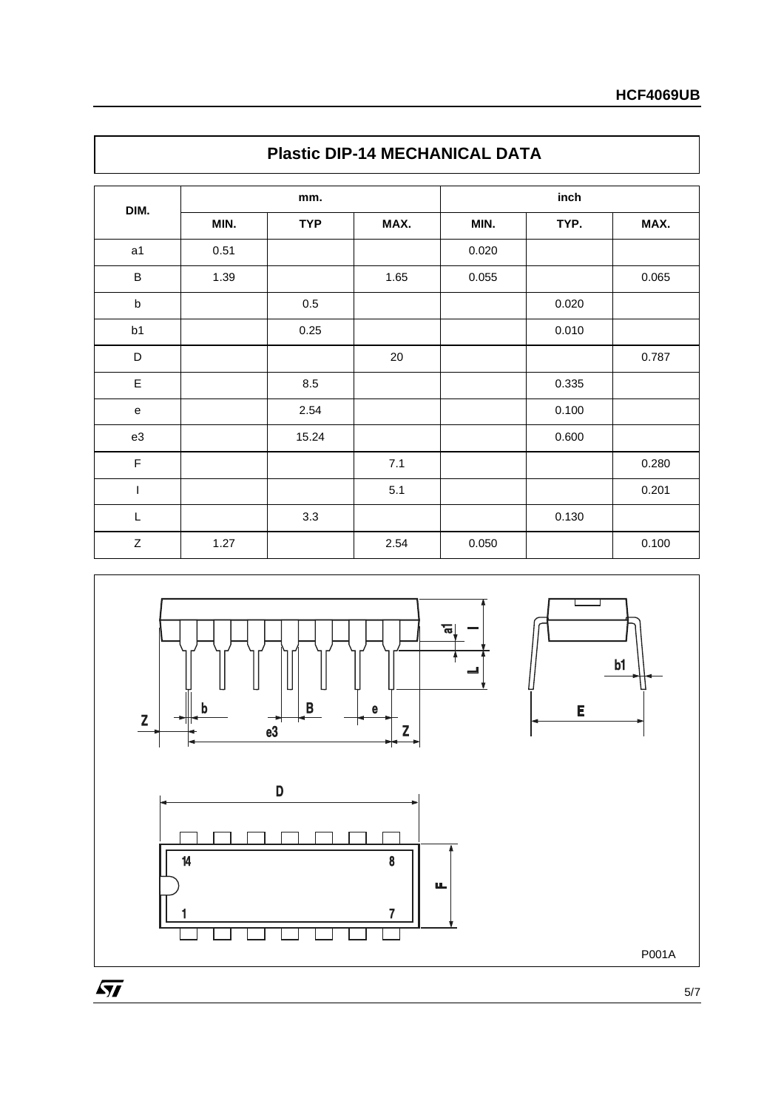|             |      | mm.        |      |       | inch  |       |  |  |  |
|-------------|------|------------|------|-------|-------|-------|--|--|--|
| DIM.        | MIN. | <b>TYP</b> | MAX. | MIN.  | TYP.  | MAX.  |  |  |  |
| a1          | 0.51 |            |      | 0.020 |       |       |  |  |  |
| $\sf B$     | 1.39 |            | 1.65 | 0.055 |       | 0.065 |  |  |  |
| $\sf b$     |      | $0.5\,$    |      |       | 0.020 |       |  |  |  |
| b1          |      | 0.25       |      |       | 0.010 |       |  |  |  |
| D           |      |            | 20   |       |       | 0.787 |  |  |  |
| $\mathsf E$ |      | 8.5        |      |       | 0.335 |       |  |  |  |
| ${\bf e}$   |      | 2.54       |      |       | 0.100 |       |  |  |  |
| e3          |      | 15.24      |      |       | 0.600 |       |  |  |  |
| F           |      |            | 7.1  |       |       | 0.280 |  |  |  |
| T           |      |            | 5.1  |       |       | 0.201 |  |  |  |
| L           |      | 3.3        |      |       | 0.130 |       |  |  |  |
| Ζ           | 1.27 |            | 2.54 | 0.050 |       | 0.100 |  |  |  |





5/7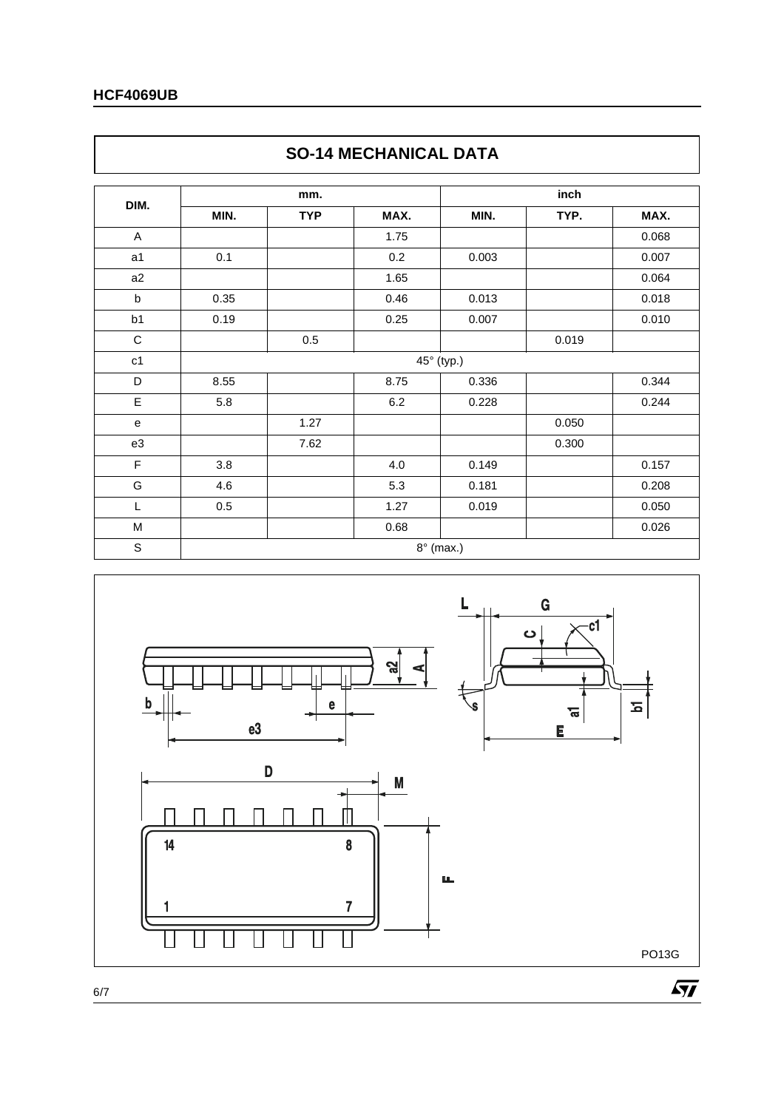#### **HCF4069UB**

 $\Gamma$ 

|                                            |                  |            | <b>SU-14 MEURANIUAL DATA</b> |            |       |       |  |  |  |
|--------------------------------------------|------------------|------------|------------------------------|------------|-------|-------|--|--|--|
| DIM.                                       |                  | mm.        |                              | inch       |       |       |  |  |  |
|                                            | MIN.             | <b>TYP</b> | MAX.                         | MIN.       | TYP.  | MAX.  |  |  |  |
| A                                          |                  |            | 1.75                         |            |       | 0.068 |  |  |  |
| a1                                         | 0.1              |            | 0.2                          | 0.003      |       | 0.007 |  |  |  |
| a2                                         |                  |            | 1.65                         |            |       | 0.064 |  |  |  |
| $\sf b$                                    | 0.35             |            | 0.46                         | 0.013      |       | 0.018 |  |  |  |
| b1                                         | 0.19             |            | 0.25                         | 0.007      |       | 0.010 |  |  |  |
| $\mathsf C$                                |                  | $0.5\,$    |                              |            | 0.019 |       |  |  |  |
| c1                                         |                  |            |                              | 45° (typ.) |       |       |  |  |  |
| D                                          | 8.55             |            | 8.75                         | 0.336      |       | 0.344 |  |  |  |
| Ε                                          | 5.8              |            | 6.2                          | 0.228      |       | 0.244 |  |  |  |
| $\mathsf{e}% _{0}\left( \mathsf{e}\right)$ |                  | 1.27       |                              |            | 0.050 |       |  |  |  |
| e3                                         |                  | 7.62       |                              |            | 0.300 |       |  |  |  |
| F                                          | 3.8              |            | 4.0                          | 0.149      |       | 0.157 |  |  |  |
| G                                          | 4.6              |            | 5.3                          | 0.181      |       | 0.208 |  |  |  |
| L                                          | $0.5\,$          |            | 1.27                         | 0.019      |       | 0.050 |  |  |  |
| M                                          |                  |            | 0.68                         |            |       | 0.026 |  |  |  |
| S                                          | $8^\circ$ (max.) |            |                              |            |       |       |  |  |  |



### **SO-14 MECHANICAL DATA**

6/7